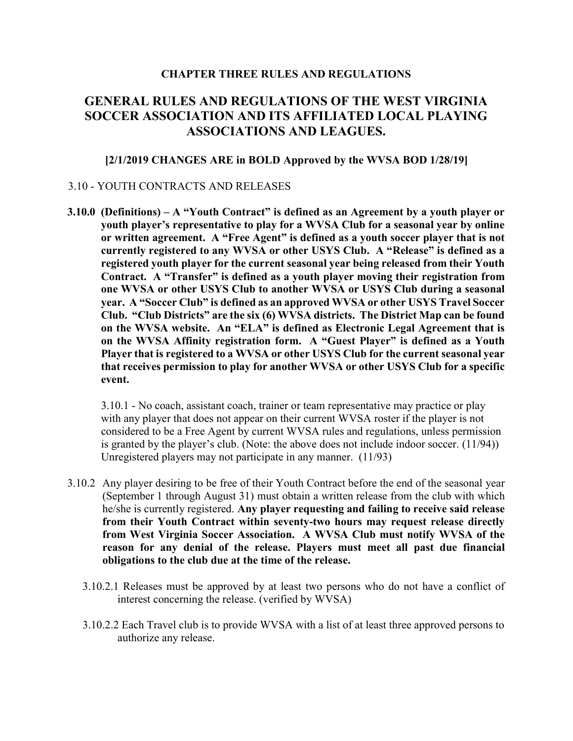## CHAPTER THREE RULES AND REGULATIONS

## GENERAL RULES AND REGULATIONS OF THE WEST VIRGINIA SOCCER ASSOCIATION AND ITS AFFILIATED LOCAL PLAYING ASSOCIATIONS AND LEAGUES.

## [2/1/2019 CHANGES ARE in BOLD Approved by the WVSA BOD 1/28/19]

## 3.10 - YOUTH CONTRACTS AND RELEASES

3.10.0 (Definitions) – A "Youth Contract" is defined as an Agreement by a youth player or youth player's representative to play for a WVSA Club for a seasonal year by online or written agreement. A "Free Agent" is defined as a youth soccer player that is not currently registered to any WVSA or other USYS Club. A "Release" is defined as a registered youth player for the current seasonal year being released from their Youth Contract. A "Transfer" is defined as a youth player moving their registration from one WVSA or other USYS Club to another WVSA or USYS Club during a seasonal year. A "Soccer Club" is defined as an approved WVSA or other USYS Travel Soccer Club. "Club Districts" are the six (6) WVSA districts. The District Map can be found on the WVSA website. An "ELA" is defined as Electronic Legal Agreement that is on the WVSA Affinity registration form. A "Guest Player" is defined as a Youth Player that is registered to a WVSA or other USYS Club for the current seasonal year that receives permission to play for another WVSA or other USYS Club for a specific event.

3.10.1 - No coach, assistant coach, trainer or team representative may practice or play with any player that does not appear on their current WVSA roster if the player is not considered to be a Free Agent by current WVSA rules and regulations, unless permission is granted by the player's club. (Note: the above does not include indoor soccer. (11/94)) Unregistered players may not participate in any manner. (11/93)

- 3.10.2 Any player desiring to be free of their Youth Contract before the end of the seasonal year (September 1 through August 31) must obtain a written release from the club with which he/she is currently registered. Any player requesting and failing to receive said release from their Youth Contract within seventy-two hours may request release directly from West Virginia Soccer Association. A WVSA Club must notify WVSA of the reason for any denial of the release. Players must meet all past due financial obligations to the club due at the time of the release.
	- 3.10.2.1 Releases must be approved by at least two persons who do not have a conflict of interest concerning the release. (verified by WVSA)
	- 3.10.2.2 Each Travel club is to provide WVSA with a list of at least three approved persons to authorize any release.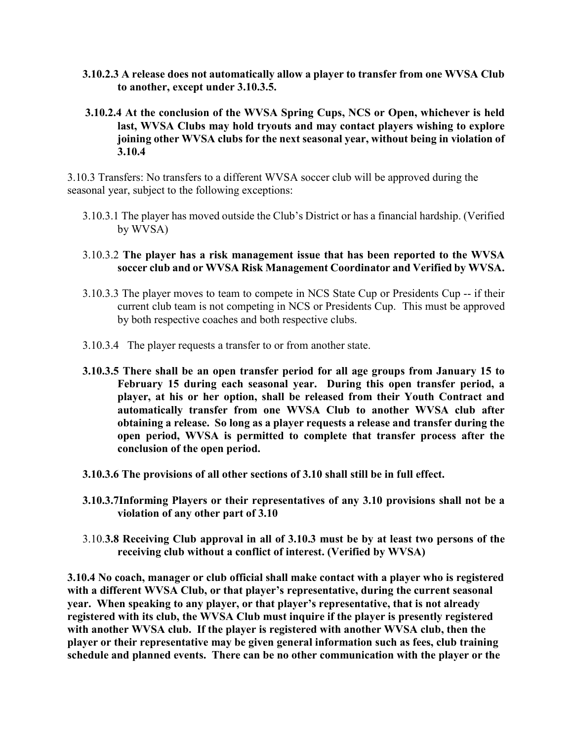- 3.10.2.3 A release does not automatically allow a player to transfer from one WVSA Club to another, except under 3.10.3.5.
- 3.10.2.4 At the conclusion of the WVSA Spring Cups, NCS or Open, whichever is held last, WVSA Clubs may hold tryouts and may contact players wishing to explore joining other WVSA clubs for the next seasonal year, without being in violation of 3.10.4

3.10.3 Transfers: No transfers to a different WVSA soccer club will be approved during the seasonal year, subject to the following exceptions:

- 3.10.3.1 The player has moved outside the Club's District or has a financial hardship. (Verified by WVSA)
- 3.10.3.2 The player has a risk management issue that has been reported to the WVSA soccer club and or WVSA Risk Management Coordinator and Verified by WVSA.
- 3.10.3.3 The player moves to team to compete in NCS State Cup or Presidents Cup -- if their current club team is not competing in NCS or Presidents Cup. This must be approved by both respective coaches and both respective clubs.
- 3.10.3.4 The player requests a transfer to or from another state.
- 3.10.3.5 There shall be an open transfer period for all age groups from January 15 to February 15 during each seasonal year. During this open transfer period, a player, at his or her option, shall be released from their Youth Contract and automatically transfer from one WVSA Club to another WVSA club after obtaining a release. So long as a player requests a release and transfer during the open period, WVSA is permitted to complete that transfer process after the conclusion of the open period.
- 3.10.3.6 The provisions of all other sections of 3.10 shall still be in full effect.
- 3.10.3.7Informing Players or their representatives of any 3.10 provisions shall not be a violation of any other part of 3.10
- 3.10.3.8 Receiving Club approval in all of 3.10.3 must be by at least two persons of the receiving club without a conflict of interest. (Verified by WVSA)

3.10.4 No coach, manager or club official shall make contact with a player who is registered with a different WVSA Club, or that player's representative, during the current seasonal year. When speaking to any player, or that player's representative, that is not already registered with its club, the WVSA Club must inquire if the player is presently registered with another WVSA club. If the player is registered with another WVSA club, then the player or their representative may be given general information such as fees, club training schedule and planned events. There can be no other communication with the player or the